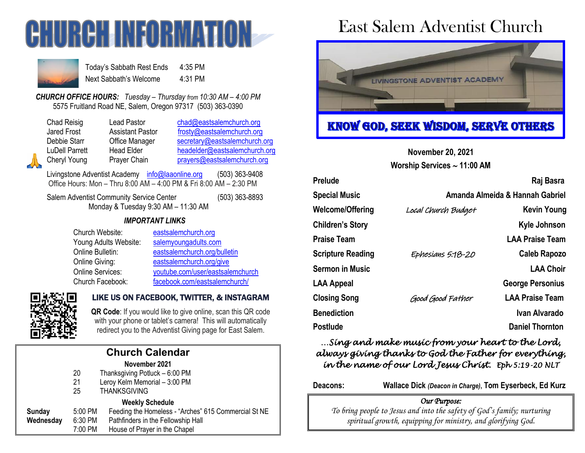



Today's Sabbath Rest Ends 4:35 PM Next Sabbath's Welcome 4:31 PM

*CHURCH OFFICE HOURS: Tuesday – Thursday from 10:30 AM – 4:00 PM* 5575 Fruitland Road NE, Salem, Oregon 97317 (503) 363-0390

Lead Pastor [chad@eastsalemchurch.org](mailto:chad@eastsalemchurch.org) Assistant Pastor [frosty@eastsalemchurch.org](mailto:frosty@eastsalemchurch.org) Office Manager [secretary@eastsalemchurch.org](mailto:secretary@eastsalemchurch.org) Head Elder [headelder@eastsalemchurch.org](mailto:headelder@eastsalemchurch.org) Prayer Chain [prayers@eastsalemchurch.org](mailto:prayers@eastsalemchurch.org)

Livingstone Adventist Academy [info@laaonline.org](mailto:info@laaonline.org) (503) 363-9408 Office Hours: Mon – Thru 8:00 AM – 4:00 PM & Fri 8:00 AM – 2:30 PM

Salem Adventist Community Service Center (503) 363-8893 Monday & Tuesday 9:30 AM – 11:30 AM

#### *IMPORTANT LINKS*

Church Website: [eastsalemchurch.org](http://www.eastsalemchurch.org/) Young Adults Website: [salemyoungadults.com](http://www.salemyoungadults.com/)

Online Bulletin: [eastsalemchurch.org/bulletin](http://www.eastsalemchurch.org/bulletin) Online Giving: [eastsalemchurch.org/give](https://www.eastsalemchurch.org/give) Online Services: [youtube.com/user/eastsalemchurch](https://www.youtube.com/user/eastsalemchurch) Church Facebook: [facebook.com/eastsalemchurch/](https://www.facebook.com/eastsalemchurch/)



### LIKE US ON FACEBOOK, TWITTER, & INSTAGRAM

**QR Code**: If you would like to give online, scan this QR code with your phone or tablet's camera! This will automatically redirect you to the Adventist Giving page for East Salem.

|                        |         | <b>Church Calendar</b>                               |  |  |  |  |
|------------------------|---------|------------------------------------------------------|--|--|--|--|
|                        |         | November 2021                                        |  |  |  |  |
|                        | 20      | Thanksgiving Potluck - 6:00 PM                       |  |  |  |  |
|                        | 21      | Leroy Kelm Memorial - 3:00 PM                        |  |  |  |  |
|                        | 25      | <b>THANKSGIVING</b>                                  |  |  |  |  |
| <b>Weekly Schedule</b> |         |                                                      |  |  |  |  |
| <b>Sunday</b>          | 5:00 PM | Feeding the Homeless - "Arches" 615 Commercial St NE |  |  |  |  |
| Wednesday              | 6:30 PM | Pathfinders in the Fellowship Hall                   |  |  |  |  |
|                        | 7:00 PM | House of Prayer in the Chapel                        |  |  |  |  |

# East Salem Adventist Church



# KNOW GOD, SEEK WISDOM, SERVE OTHERS

**November 20, 2021**

**Worship Services 11:00 AM**

| Prelude                  |                                 | Raj Basra               |  |
|--------------------------|---------------------------------|-------------------------|--|
| <b>Special Music</b>     | Amanda Almeida & Hannah Gabriel |                         |  |
| Welcome/Offering         | Local Church Budget             | <b>Kevin Young</b>      |  |
| Children's Story         |                                 | Kyle Johnson            |  |
| Praise Team              |                                 | <b>LAA Praise Team</b>  |  |
| <b>Scripture Reading</b> | Ephesians 5.18-20               | <b>Caleb Rapozo</b>     |  |
| <b>Sermon in Music</b>   |                                 | <b>LAA Choir</b>        |  |
| LAA Appeal               |                                 | <b>George Personius</b> |  |
| <b>Closing Song</b>      | Good Good Father                | <b>LAA Praise Team</b>  |  |
| <b>Benediction</b>       |                                 | Ivan Alvarado           |  |
| Postlude                 |                                 | <b>Daniel Thornton</b>  |  |
|                          |                                 |                         |  |

## *…Sing and make music from your heart to the Lord, always giving thanks to God the Father for everything, in the name of our Lord Jesus Christ. Eph 5:19-20 NLT*

**Deacons: Wallace Dick** *(Deacon in Charge)***, Tom Eyserbeck, Ed Kurz**

### *Our Purpose:*

*To bring people to Jesus and into the safety of God's family; nurturing spiritual growth, equipping for ministry, and glorifying God.*